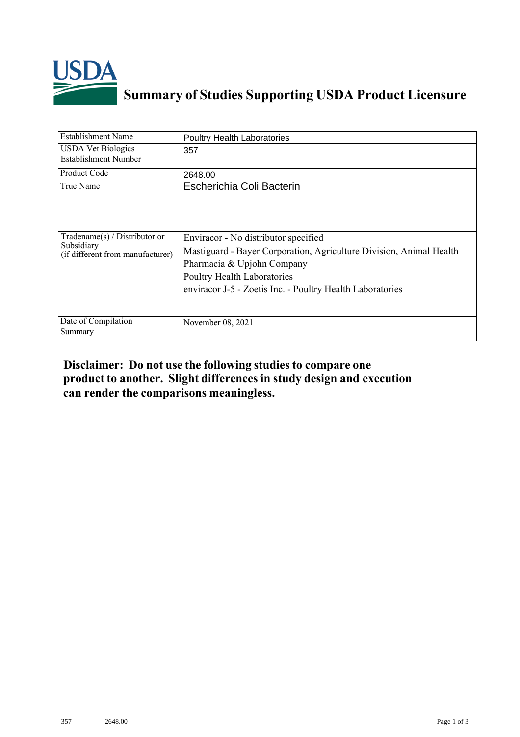

## **Summary of Studies Supporting USDA Product Licensure**

| <b>Establishment Name</b>                                                       | <b>Poultry Health Laboratories</b>                                                                                                                                                                                                    |
|---------------------------------------------------------------------------------|---------------------------------------------------------------------------------------------------------------------------------------------------------------------------------------------------------------------------------------|
| <b>USDA Vet Biologics</b><br>Establishment Number                               | 357                                                                                                                                                                                                                                   |
| Product Code                                                                    | 2648.00                                                                                                                                                                                                                               |
| True Name                                                                       | Escherichia Coli Bacterin                                                                                                                                                                                                             |
| Tradename(s) / Distributor or<br>Subsidiary<br>(if different from manufacturer) | Enviracor - No distributor specified<br>Mastiguard - Bayer Corporation, Agriculture Division, Animal Health<br>Pharmacia & Upjohn Company<br>Poultry Health Laboratories<br>enviracor J-5 - Zoetis Inc. - Poultry Health Laboratories |
| Date of Compilation<br>Summary                                                  | November 08, 2021                                                                                                                                                                                                                     |

## **Disclaimer: Do not use the following studiesto compare one product to another. Slight differencesin study design and execution can render the comparisons meaningless.**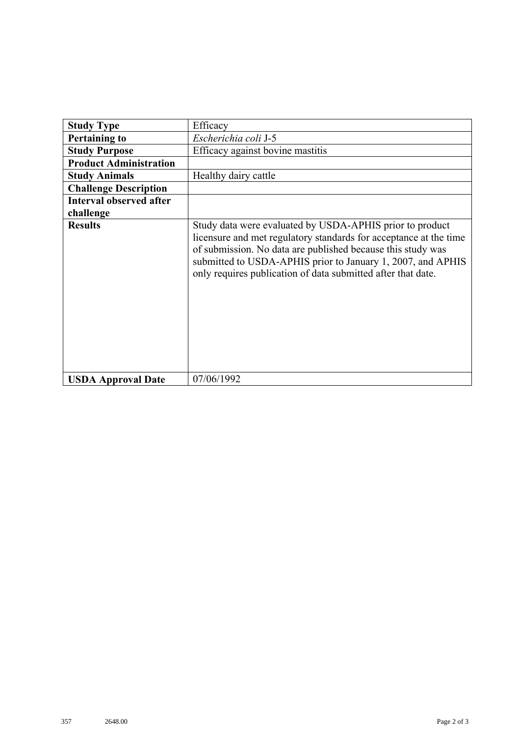| <b>Study Type</b>              | Efficacy                                                                                                                                                                                                                                                                                                                    |
|--------------------------------|-----------------------------------------------------------------------------------------------------------------------------------------------------------------------------------------------------------------------------------------------------------------------------------------------------------------------------|
| <b>Pertaining to</b>           | Escherichia coli J-5                                                                                                                                                                                                                                                                                                        |
| <b>Study Purpose</b>           | Efficacy against bovine mastitis                                                                                                                                                                                                                                                                                            |
| <b>Product Administration</b>  |                                                                                                                                                                                                                                                                                                                             |
| <b>Study Animals</b>           | Healthy dairy cattle                                                                                                                                                                                                                                                                                                        |
| <b>Challenge Description</b>   |                                                                                                                                                                                                                                                                                                                             |
| <b>Interval observed after</b> |                                                                                                                                                                                                                                                                                                                             |
| challenge                      |                                                                                                                                                                                                                                                                                                                             |
| <b>Results</b>                 | Study data were evaluated by USDA-APHIS prior to product<br>licensure and met regulatory standards for acceptance at the time<br>of submission. No data are published because this study was<br>submitted to USDA-APHIS prior to January 1, 2007, and APHIS<br>only requires publication of data submitted after that date. |
| <b>USDA Approval Date</b>      | 07/06/1992                                                                                                                                                                                                                                                                                                                  |